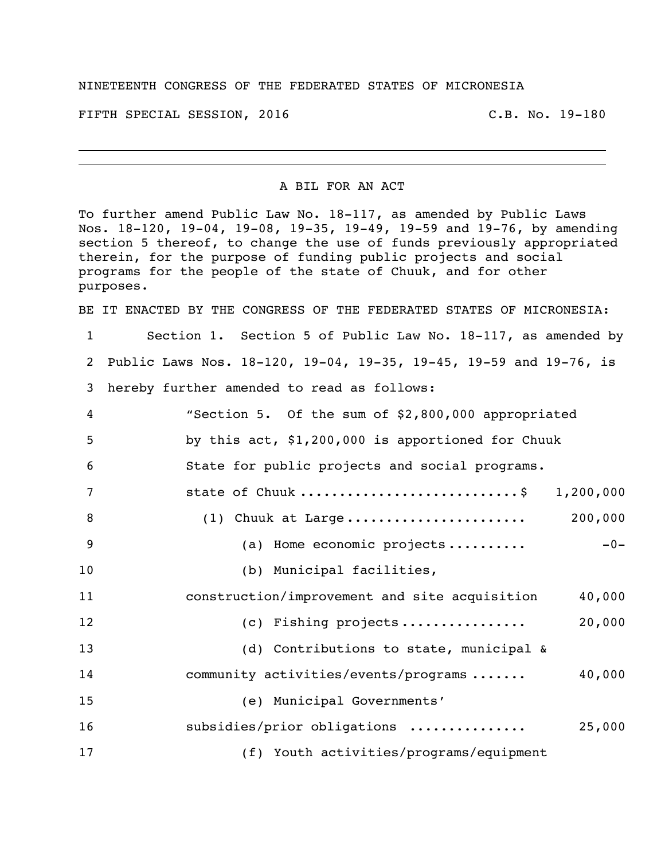## NINETEENTH CONGRESS OF THE FEDERATED STATES OF MICRONESIA

FIFTH SPECIAL SESSION, 2016 C.B. No. 19-180

A BIL FOR AN ACT

To further amend Public Law No. 18-117, as amended by Public Laws Nos. 18-120, 19-04, 19-08, 19-35, 19-49, 19-59 and 19-76, by amending section 5 thereof, to change the use of funds previously appropriated therein, for the purpose of funding public projects and social programs for the people of the state of Chuuk, and for other purposes.

BE IT ENACTED BY THE CONGRESS OF THE FEDERATED STATES OF MICRONESIA:

 Section 1. Section 5 of Public Law No. 18-117, as amended by Public Laws Nos. 18-120, 19-04, 19-35, 19-45, 19-59 and 19-76, is hereby further amended to read as follows:

| $\overline{4}$ | "Section 5. Of the sum of \$2,800,000 appropriated |           |
|----------------|----------------------------------------------------|-----------|
| 5              | by this act, \$1,200,000 is apportioned for Chuuk  |           |
| 6              | State for public projects and social programs.     |           |
| 7              | state of Chuuk \$                                  | 1,200,000 |
| 8              |                                                    | 200,000   |
| 9              | (a) Home economic projects                         | $-0-$     |
| 10             | (b) Municipal facilities,                          |           |
| 11             | construction/improvement and site acquisition      | 40,000    |
| 12             | (c) Fishing projects                               | 20,000    |
| 13             | (d) Contributions to state, municipal &            |           |
| 14             | community activities/events/programs               | 40,000    |
| 15             | (e) Municipal Governments'                         |           |
| 16             | subsidies/prior obligations                        | 25,000    |
| 17             | (f) Youth activities/programs/equipment            |           |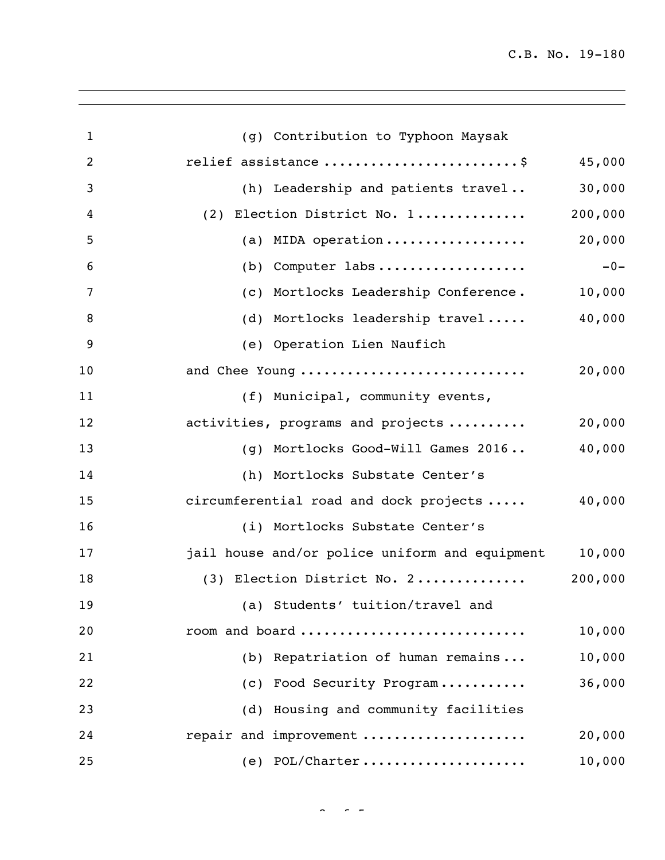C.B. No. 19-180

| $\mathbf{1}$ | (g) Contribution to Typhoon Maysak             |         |
|--------------|------------------------------------------------|---------|
| 2            | relief assistance  \$                          | 45,000  |
| 3            | (h) Leadership and patients travel             | 30,000  |
| 4            | (2) Election District No. 1                    | 200,000 |
| 5            | (a) MIDA operation                             | 20,000  |
| 6            | (b) Computer labs                              | $-0-$   |
| 7            | (c) Mortlocks Leadership Conference.           | 10,000  |
| 8            | (d) Mortlocks leadership travel                | 40,000  |
| 9            | (e) Operation Lien Naufich                     |         |
| 10           | and Chee Young                                 | 20,000  |
| 11           | (f) Municipal, community events,               |         |
| 12           | activities, programs and projects              | 20,000  |
| 13           | (g) Mortlocks Good-Will Games 2016             | 40,000  |
| 14           | (h) Mortlocks Substate Center's                |         |
| 15           | circumferential road and dock projects         | 40,000  |
| 16           | (i) Mortlocks Substate Center's                |         |
| 17           | jail house and/or police uniform and equipment | 10,000  |
| 18           | (3) Election District No. 2                    | 200,000 |
| 19           | (a) Students' tuition/travel and               |         |
| 20           | room and board                                 | 10,000  |
| 21           | (b) Repatriation of human remains              | 10,000  |
| 22           | (c) Food Security Program                      | 36,000  |
| 23           | (d) Housing and community facilities           |         |
| 24           | repair and improvement                         | 20,000  |
| 25           | $(e)$ POL/Charter                              | 10,000  |

 $\sim$   $\sim$   $\sim$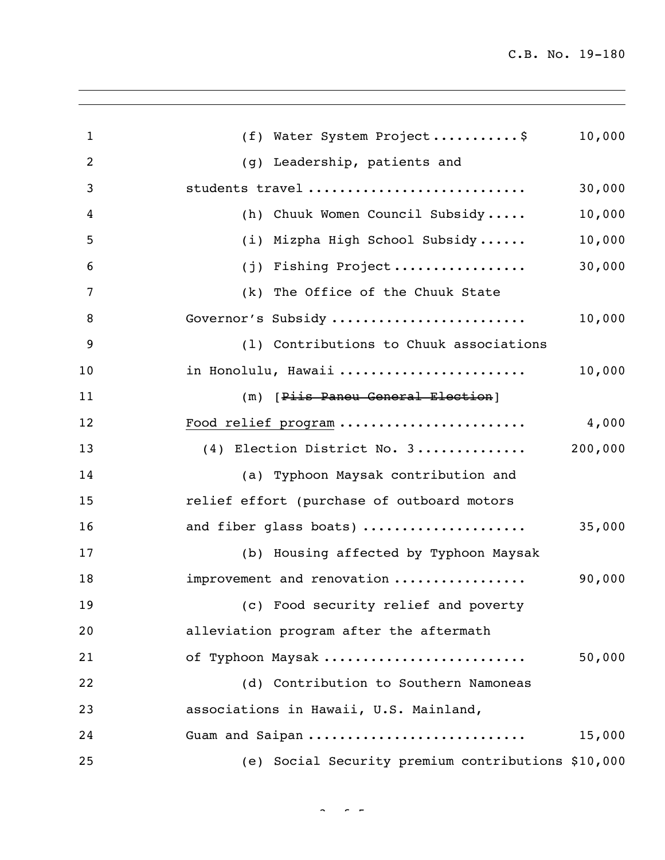| (f) Water System Project\$<br>$\mathbf{1}$<br>2<br>(g) Leadership, patients and<br>students travel<br>3<br>(h) Chuuk Women Council Subsidy<br>4<br>(i) Mizpha High School Subsidy<br>5<br>(j) Fishing Project<br>6<br>(k) The Office of the Chuuk State<br>7<br>Governor's Subsidy<br>8<br>9<br>(1) Contributions to Chuuk associations<br>in Honolulu, Hawaii<br>10<br>(m) [Piis Paneu General Election]<br>11<br>Food relief program<br>12<br>(4) Election District No. 3<br>13<br>14<br>(a) Typhoon Maysak contribution and<br>relief effort (purchase of outboard motors<br>15<br>and fiber glass boats)<br>16<br>17<br>(b) Housing affected by Typhoon Maysak<br>improvement and renovation<br>18<br>19<br>(c) Food security relief and poverty<br>alleviation program after the aftermath<br>20<br>of Typhoon Maysak<br>21<br>(d) Contribution to Southern Namoneas<br>22<br>associations in Hawaii, U.S. Mainland,<br>23<br>Guam and Saipan<br>24<br>(e) Social Security premium contributions \$10,000<br>25 |  |         |
|----------------------------------------------------------------------------------------------------------------------------------------------------------------------------------------------------------------------------------------------------------------------------------------------------------------------------------------------------------------------------------------------------------------------------------------------------------------------------------------------------------------------------------------------------------------------------------------------------------------------------------------------------------------------------------------------------------------------------------------------------------------------------------------------------------------------------------------------------------------------------------------------------------------------------------------------------------------------------------------------------------------------|--|---------|
|                                                                                                                                                                                                                                                                                                                                                                                                                                                                                                                                                                                                                                                                                                                                                                                                                                                                                                                                                                                                                      |  | 10,000  |
|                                                                                                                                                                                                                                                                                                                                                                                                                                                                                                                                                                                                                                                                                                                                                                                                                                                                                                                                                                                                                      |  |         |
|                                                                                                                                                                                                                                                                                                                                                                                                                                                                                                                                                                                                                                                                                                                                                                                                                                                                                                                                                                                                                      |  | 30,000  |
|                                                                                                                                                                                                                                                                                                                                                                                                                                                                                                                                                                                                                                                                                                                                                                                                                                                                                                                                                                                                                      |  | 10,000  |
|                                                                                                                                                                                                                                                                                                                                                                                                                                                                                                                                                                                                                                                                                                                                                                                                                                                                                                                                                                                                                      |  | 10,000  |
|                                                                                                                                                                                                                                                                                                                                                                                                                                                                                                                                                                                                                                                                                                                                                                                                                                                                                                                                                                                                                      |  | 30,000  |
|                                                                                                                                                                                                                                                                                                                                                                                                                                                                                                                                                                                                                                                                                                                                                                                                                                                                                                                                                                                                                      |  |         |
|                                                                                                                                                                                                                                                                                                                                                                                                                                                                                                                                                                                                                                                                                                                                                                                                                                                                                                                                                                                                                      |  | 10,000  |
|                                                                                                                                                                                                                                                                                                                                                                                                                                                                                                                                                                                                                                                                                                                                                                                                                                                                                                                                                                                                                      |  |         |
|                                                                                                                                                                                                                                                                                                                                                                                                                                                                                                                                                                                                                                                                                                                                                                                                                                                                                                                                                                                                                      |  | 10,000  |
|                                                                                                                                                                                                                                                                                                                                                                                                                                                                                                                                                                                                                                                                                                                                                                                                                                                                                                                                                                                                                      |  |         |
|                                                                                                                                                                                                                                                                                                                                                                                                                                                                                                                                                                                                                                                                                                                                                                                                                                                                                                                                                                                                                      |  | 4,000   |
|                                                                                                                                                                                                                                                                                                                                                                                                                                                                                                                                                                                                                                                                                                                                                                                                                                                                                                                                                                                                                      |  | 200,000 |
|                                                                                                                                                                                                                                                                                                                                                                                                                                                                                                                                                                                                                                                                                                                                                                                                                                                                                                                                                                                                                      |  |         |
|                                                                                                                                                                                                                                                                                                                                                                                                                                                                                                                                                                                                                                                                                                                                                                                                                                                                                                                                                                                                                      |  |         |
|                                                                                                                                                                                                                                                                                                                                                                                                                                                                                                                                                                                                                                                                                                                                                                                                                                                                                                                                                                                                                      |  | 35,000  |
|                                                                                                                                                                                                                                                                                                                                                                                                                                                                                                                                                                                                                                                                                                                                                                                                                                                                                                                                                                                                                      |  |         |
|                                                                                                                                                                                                                                                                                                                                                                                                                                                                                                                                                                                                                                                                                                                                                                                                                                                                                                                                                                                                                      |  | 90,000  |
|                                                                                                                                                                                                                                                                                                                                                                                                                                                                                                                                                                                                                                                                                                                                                                                                                                                                                                                                                                                                                      |  |         |
|                                                                                                                                                                                                                                                                                                                                                                                                                                                                                                                                                                                                                                                                                                                                                                                                                                                                                                                                                                                                                      |  |         |
|                                                                                                                                                                                                                                                                                                                                                                                                                                                                                                                                                                                                                                                                                                                                                                                                                                                                                                                                                                                                                      |  | 50,000  |
|                                                                                                                                                                                                                                                                                                                                                                                                                                                                                                                                                                                                                                                                                                                                                                                                                                                                                                                                                                                                                      |  |         |
|                                                                                                                                                                                                                                                                                                                                                                                                                                                                                                                                                                                                                                                                                                                                                                                                                                                                                                                                                                                                                      |  |         |
|                                                                                                                                                                                                                                                                                                                                                                                                                                                                                                                                                                                                                                                                                                                                                                                                                                                                                                                                                                                                                      |  | 15,000  |
|                                                                                                                                                                                                                                                                                                                                                                                                                                                                                                                                                                                                                                                                                                                                                                                                                                                                                                                                                                                                                      |  |         |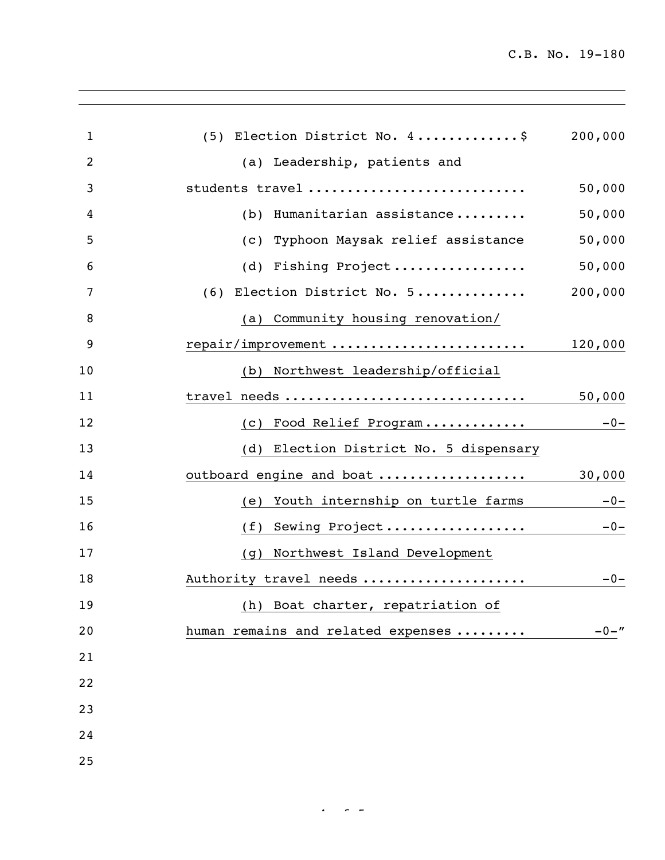C.B. No. 19-180

| (5) Election District No. 4\$           | 200,000  |
|-----------------------------------------|----------|
| (a) Leadership, patients and            |          |
| students travel                         | 50,000   |
| (b) Humanitarian assistance             | 50,000   |
| (c) Typhoon Maysak relief assistance    | 50,000   |
| (d) Fishing Project                     | 50,000   |
| (6) Election District No. 5             | 200,000  |
| (a) Community housing renovation/       |          |
| repair/improvement                      | 120,000  |
| (b) Northwest leadership/official       |          |
| travel needs                            | 50,000   |
| Food Relief Program<br>(C)              | $-0-$    |
| (d) Election District No. 5 dispensary  |          |
| outboard engine and boat                | 30,000   |
| Youth internship on turtle farms<br>(e) | $-0-$    |
| Sewing Project<br>(f)                   | $-0-$    |
| (g) Northwest Island Development        |          |
| Authority travel needs                  | $-0-$    |
| (h) Boat charter, repatriation of       |          |
| human remains and related expenses      | $-0 -$ " |
|                                         |          |
|                                         |          |
|                                         |          |
|                                         |          |
|                                         |          |
|                                         |          |